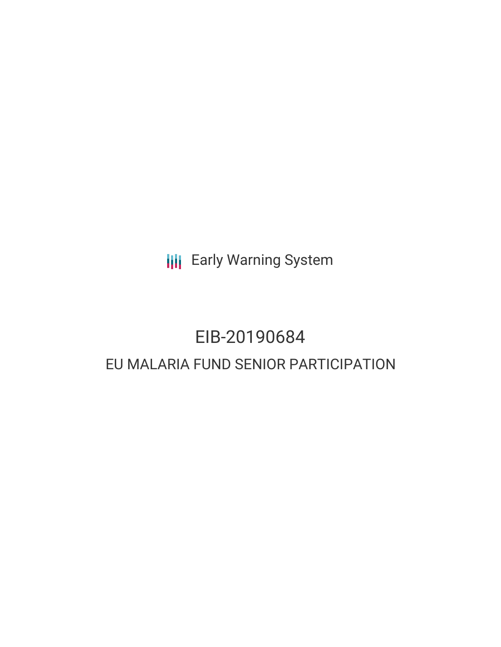**III** Early Warning System

# EIB-20190684 EU MALARIA FUND SENIOR PARTICIPATION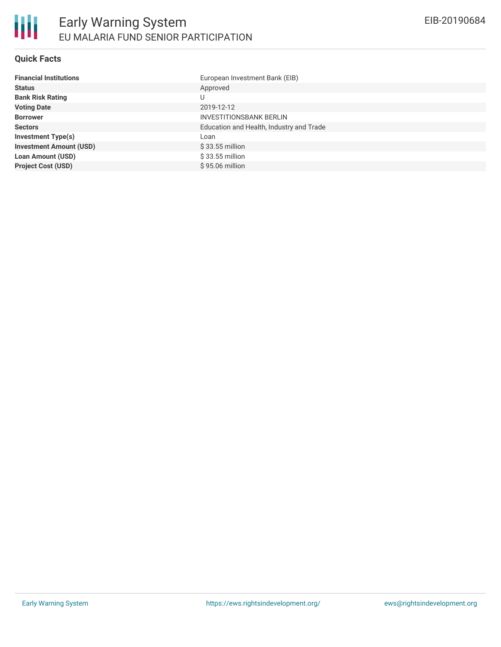#### **Quick Facts**

| <b>Financial Institutions</b>  | European Investment Bank (EIB)           |
|--------------------------------|------------------------------------------|
| <b>Status</b>                  | Approved                                 |
| <b>Bank Risk Rating</b>        | U                                        |
| <b>Voting Date</b>             | 2019-12-12                               |
| <b>Borrower</b>                | <b>INVESTITIONSBANK BERLIN</b>           |
| <b>Sectors</b>                 | Education and Health, Industry and Trade |
| <b>Investment Type(s)</b>      | Loan                                     |
| <b>Investment Amount (USD)</b> | \$33.55 million                          |
| <b>Loan Amount (USD)</b>       | $$33.55$ million                         |
| <b>Project Cost (USD)</b>      | \$95.06 million                          |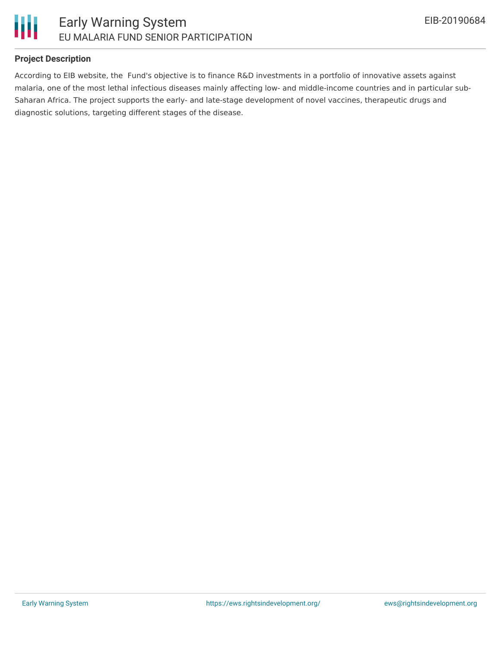

### **Project Description**

According to EIB website, the Fund's objective is to finance R&D investments in a portfolio of innovative assets against malaria, one of the most lethal infectious diseases mainly affecting low- and middle-income countries and in particular sub-Saharan Africa. The project supports the early- and late-stage development of novel vaccines, therapeutic drugs and diagnostic solutions, targeting different stages of the disease.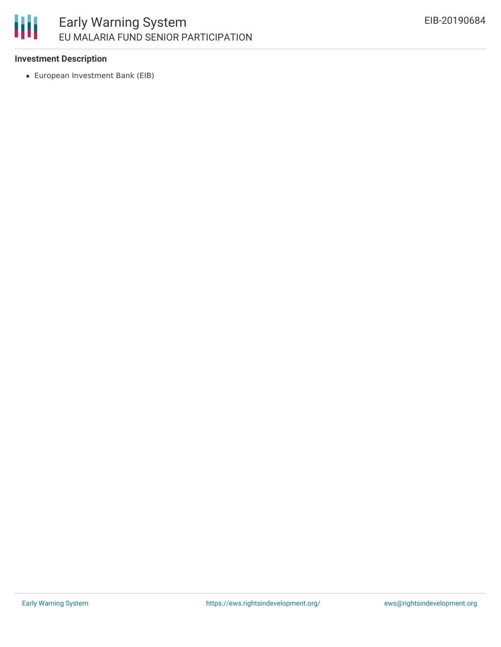## 冊 Early Warning System EU MALARIA FUND SENIOR PARTICIPATION

#### **Investment Description**

European Investment Bank (EIB)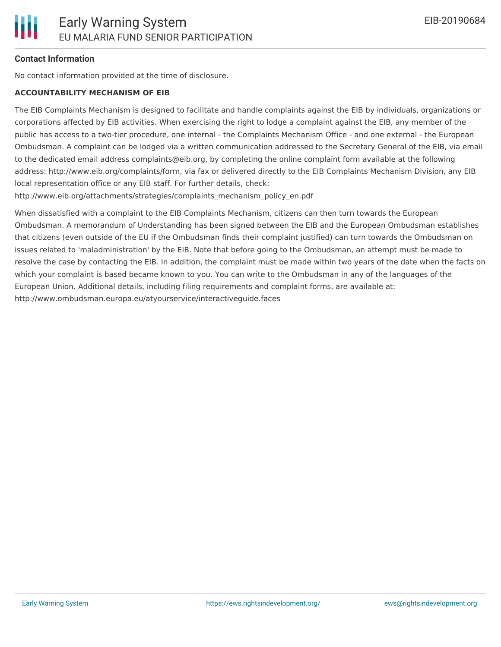### **Contact Information**

No contact information provided at the time of disclosure.

#### **ACCOUNTABILITY MECHANISM OF EIB**

The EIB Complaints Mechanism is designed to facilitate and handle complaints against the EIB by individuals, organizations or corporations affected by EIB activities. When exercising the right to lodge a complaint against the EIB, any member of the public has access to a two-tier procedure, one internal - the Complaints Mechanism Office - and one external - the European Ombudsman. A complaint can be lodged via a written communication addressed to the Secretary General of the EIB, via email to the dedicated email address complaints@eib.org, by completing the online complaint form available at the following address: http://www.eib.org/complaints/form, via fax or delivered directly to the EIB Complaints Mechanism Division, any EIB local representation office or any EIB staff. For further details, check:

http://www.eib.org/attachments/strategies/complaints\_mechanism\_policy\_en.pdf

When dissatisfied with a complaint to the EIB Complaints Mechanism, citizens can then turn towards the European Ombudsman. A memorandum of Understanding has been signed between the EIB and the European Ombudsman establishes that citizens (even outside of the EU if the Ombudsman finds their complaint justified) can turn towards the Ombudsman on issues related to 'maladministration' by the EIB. Note that before going to the Ombudsman, an attempt must be made to resolve the case by contacting the EIB. In addition, the complaint must be made within two years of the date when the facts on which your complaint is based became known to you. You can write to the Ombudsman in any of the languages of the European Union. Additional details, including filing requirements and complaint forms, are available at: http://www.ombudsman.europa.eu/atyourservice/interactiveguide.faces